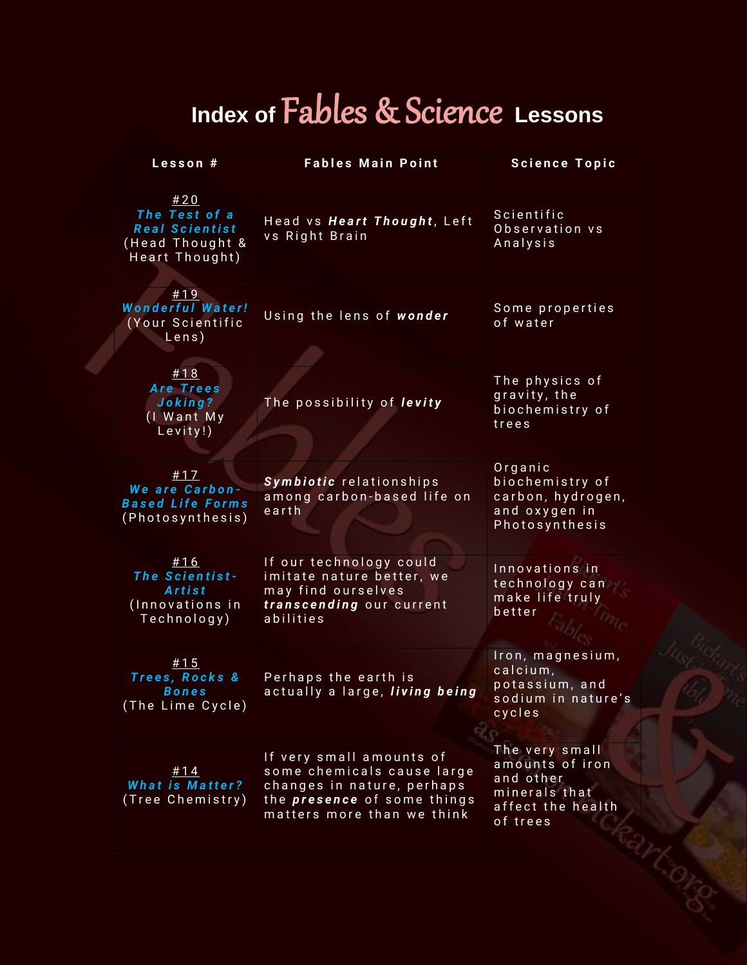## **Index of** Fables & Science **Lessons**

| Lesson #                                                                           | <b>Fables Main Point</b>                                                                                                                                 | <b>Science Topic</b>                                                                             |
|------------------------------------------------------------------------------------|----------------------------------------------------------------------------------------------------------------------------------------------------------|--------------------------------------------------------------------------------------------------|
| #20<br>The Test of a<br><b>Real Scientist</b><br>(Head Thought &<br>Heart Thought) | Head vs Heart Thought, Left<br>vs Right Brain                                                                                                            | Scientific<br>Observation vs<br>Analysis                                                         |
| #19<br><b>Wonderful Water!</b><br>(Your Scientific<br>Lens)                        | Using the lens of wonder                                                                                                                                 | Some properties<br>of water                                                                      |
| #18<br><b>Are Trees</b><br>Joking?<br>(I Want My<br>Levity!)                       | The possibility of levity                                                                                                                                | The physics of<br>gravity, the<br>biochemistry of<br>trees                                       |
| #17<br>We are Carbon-<br><b>Based Life Forms</b><br>(Photosynthesis)               | Symbiotic relationships<br>among carbon-based life on<br>earth                                                                                           | Organic<br>biochemistry of<br>carbon, hydrogen,<br>and oxygen in<br>Photosynthesis               |
| #16<br>The Scientist-<br>Artist<br>(Innovations in<br>Technology)                  | If our technology could<br>imitate nature better, we<br>may find ourselves<br>transcending our current<br>abilities                                      | Innovations in<br>technology can<br>make life truly<br>better                                    |
| #15<br>Trees, Rocks &<br>Bones<br>(The Lime Cycle)                                 | Perhaps the earth is<br>actually a large, living being                                                                                                   | Iron, magnesium,<br>calcium,<br>potassium, and<br>sodium in nature's<br>cycles                   |
| #14<br><b>What is Matter?</b><br>(Tree Chemistry)                                  | If very small amounts of<br>some chemicals cause large<br>changes in nature, perhaps<br>the <i>presence</i> of some things<br>matters more than we think | The very small<br>amounts of iron<br>and other<br>minerals that<br>affect the health<br>of trees |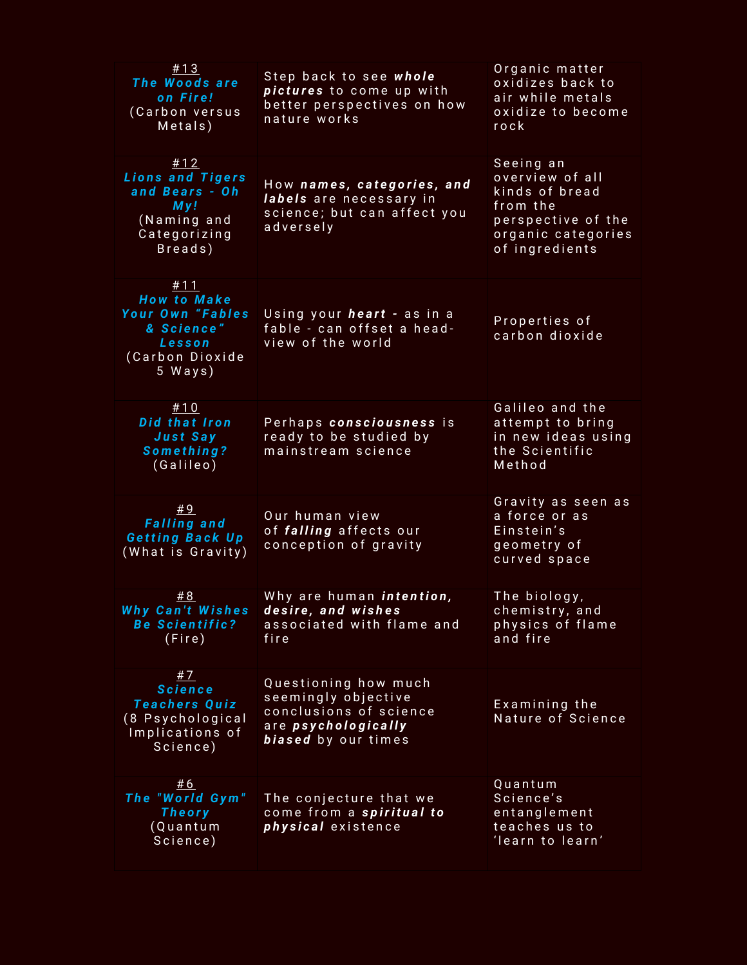| #13<br>The Woods are<br>on Fire!<br>(Carbon versus<br>Metals)                                       | Step back to see whole<br>pictures to come up with<br>better perspectives on how<br>nature works                    | Organic matter<br>oxidizes back to<br>air while metals<br>oxidize to become<br>rock                                      |
|-----------------------------------------------------------------------------------------------------|---------------------------------------------------------------------------------------------------------------------|--------------------------------------------------------------------------------------------------------------------------|
| #12<br><b>Lions and Tigers</b><br>and Bears - Oh<br>My!<br>(Naming and<br>Categorizing<br>Breads)   | How names, categories, and<br>labels are necessary in<br>science; but can affect you<br>adversely                   | Seeing an<br>overview of all<br>kinds of bread<br>from the<br>perspective of the<br>organic categories<br>of ingredients |
| #11<br><b>How to Make</b><br>Your Own "Fables<br>& Science"<br>Lesson<br>(Carbon Dioxide<br>5 Ways) | Using your heart - as in a<br>fable - can offset a head-<br>view of the world                                       | Properties of<br>carbon dioxide                                                                                          |
| #10<br>Did that Iron<br>Just Say<br>Something?<br>(Galileo)                                         | Perhaps consciousness is<br>ready to be studied by<br>mainstream science                                            | Galileo and the<br>attempt to bring<br>in new ideas using<br>the Scientific<br>Method                                    |
| #9<br><b>Falling and</b><br><b>Getting Back Up</b><br>(What is Gravity)                             | Our human view<br>of falling affects our<br>conception of gravity                                                   | Gravity as seen as<br>a force or as<br>Einstein's<br>geometry of<br>curved space                                         |
| #8<br><b>Why Can't Wishes</b><br><b>Be Scientific?</b><br>(Fire)                                    | Why are human <i>intention</i> ,<br>desire, and wishes<br>associated with flame and<br>fire                         | The biology,<br>chemistry, and<br>physics of flame<br>and fire                                                           |
| #7<br><b>Science</b><br><b>Teachers Quiz</b><br>(8 Psychological<br>Implications of<br>Science)     | Questioning how much<br>seemingly objective<br>conclusions of science<br>are psychologically<br>biased by our times | Examining the<br>Nature of Science                                                                                       |
| #6<br>The "World Gym"<br><b>Theory</b><br>(Quantum<br>Science)                                      | The conjecture that we<br>come from a spiritual to<br>physical existence                                            | Quantum<br>Science's<br>entanglement<br>teaches us to<br>'learn to learn'                                                |